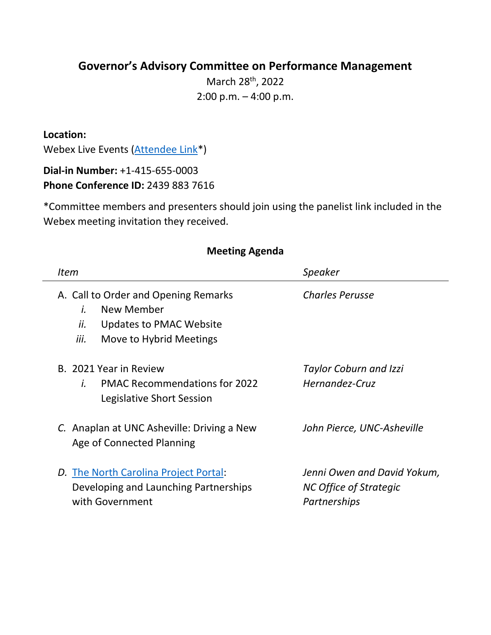## **Governor's Advisory Committee on Performance Management**

March 28<sup>th</sup>, 2022 2:00 p.m. – 4:00 p.m.

**Location:**

Webex Live Events [\(Attendee Link\\*](https://ncgov.webex.com/ncgov/onstage/g.php?MTID=e7100a3c98ba6a55b024289f1ca3486ae))

**Dial-in Number:** +1-415-655-0003 **Phone Conference ID:** 2439 883 7616

\*Committee members and presenters should join using the panelist link included in the Webex meeting invitation they received.

| <i>Item</i>                                                                                                                   | <b>Speaker</b>                                                        |
|-------------------------------------------------------------------------------------------------------------------------------|-----------------------------------------------------------------------|
|                                                                                                                               |                                                                       |
| A. Call to Order and Opening Remarks<br>New Member<br>İ.<br>ii.<br>Updates to PMAC Website<br>iii.<br>Move to Hybrid Meetings | <b>Charles Perusse</b>                                                |
| B. 2021 Year in Review<br><b>PMAC Recommendations for 2022</b><br>Ĺ.<br>Legislative Short Session                             | <b>Taylor Coburn and Izzi</b><br>Hernandez-Cruz                       |
| C. Anaplan at UNC Asheville: Driving a New<br>Age of Connected Planning                                                       | John Pierce, UNC-Asheville                                            |
| D. The North Carolina Project Portal:<br>Developing and Launching Partnerships<br>with Government                             | Jenni Owen and David Yokum,<br>NC Office of Strategic<br>Partnerships |

## **Meeting Agenda**